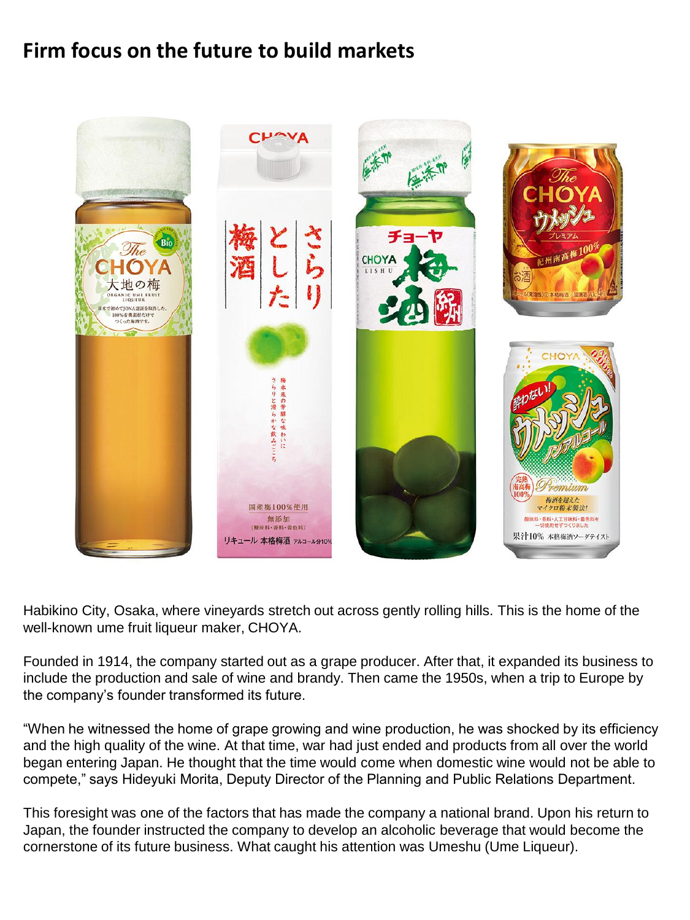## **Firm focus on the future to build markets**



Habikino City, Osaka, where vineyards stretch out across gently rolling hills. This is the home of the well-known ume fruit liqueur maker, CHOYA.

Founded in 1914, the company started out as a grape producer. After that, it expanded its business to include the production and sale of wine and brandy. Then came the 1950s, when a trip to Europe by the company's founder transformed its future.

"When he witnessed the home of grape growing and wine production, he was shocked by its efficiency and the high quality of the wine. At that time, war had just ended and products from all over the world began entering Japan. He thought that the time would come when domestic wine would not be able to compete," says Hideyuki Morita, Deputy Director of the Planning and Public Relations Department.

This foresight was one of the factors that has made the company a national brand. Upon his return to Japan, the founder instructed the company to develop an alcoholic beverage that would become the cornerstone of its future business. What caught his attention was Umeshu (Ume Liqueur).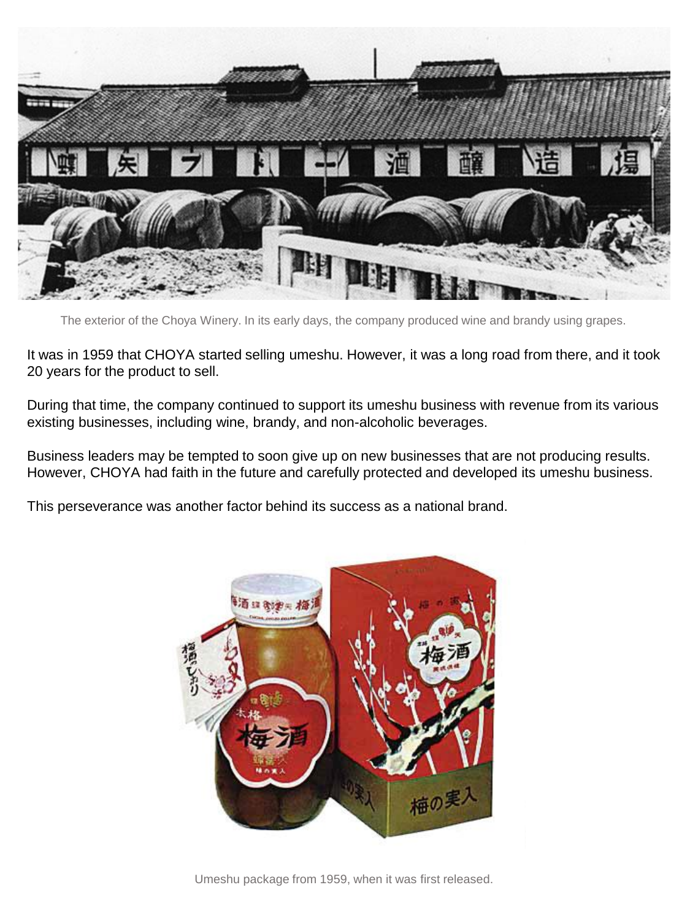

The exterior of the Choya Winery. In its early days, the company produced wine and brandy using grapes.

It was in 1959 that CHOYA started selling umeshu. However, it was a long road from there, and it took 20 years for the product to sell.

During that time, the company continued to support its umeshu business with revenue from its various existing businesses, including wine, brandy, and non-alcoholic beverages.

Business leaders may be tempted to soon give up on new businesses that are not producing results. However, CHOYA had faith in the future and carefully protected and developed its umeshu business.

This perseverance was another factor behind its success as a national brand.



Umeshu package from 1959, when it was first released.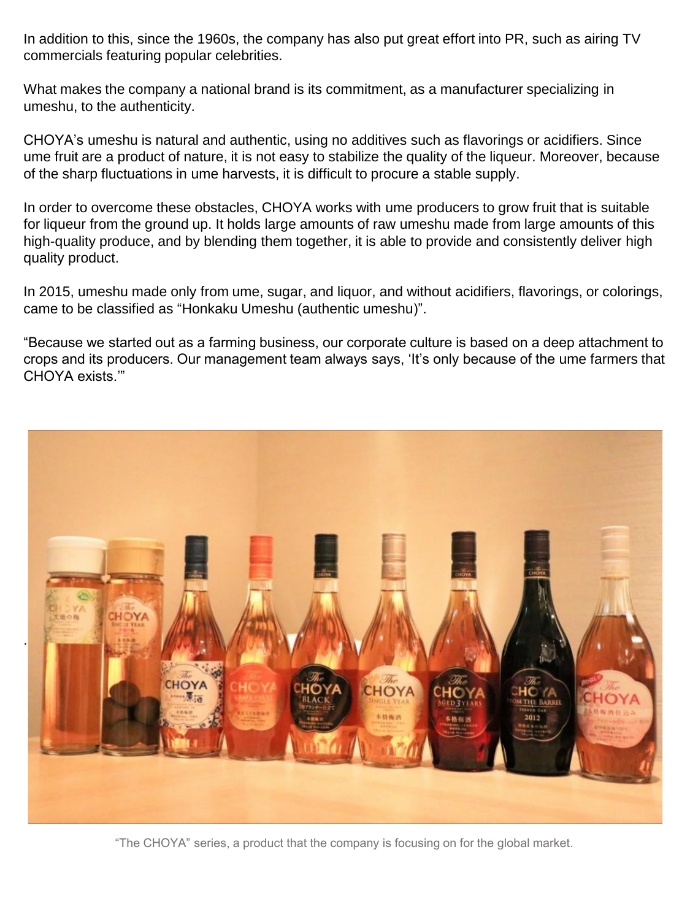In addition to this, since the 1960s, the company has also put great effort into PR, such as airing TV commercials featuring popular celebrities.

What makes the company a national brand is its commitment, as a manufacturer specializing in umeshu, to the authenticity.

CHOYA's umeshu is natural and authentic, using no additives such as flavorings or acidifiers. Since ume fruit are a product of nature, it is not easy to stabilize the quality of the liqueur. Moreover, because of the sharp fluctuations in ume harvests, it is difficult to procure a stable supply.

In order to overcome these obstacles, CHOYA works with ume producers to grow fruit that is suitable for liqueur from the ground up. It holds large amounts of raw umeshu made from large amounts of this high-quality produce, and by blending them together, it is able to provide and consistently deliver high quality product.

In 2015, umeshu made only from ume, sugar, and liquor, and without acidifiers, flavorings, or colorings, came to be classified as "Honkaku Umeshu (authentic umeshu)".

"Because we started out as a farming business, our corporate culture is based on a deep attachment to crops and its producers. Our management team always says, 'It's only because of the ume farmers that CHOYA exists.'"



"The CHOYA" series, a product that the company is focusing on for the global market.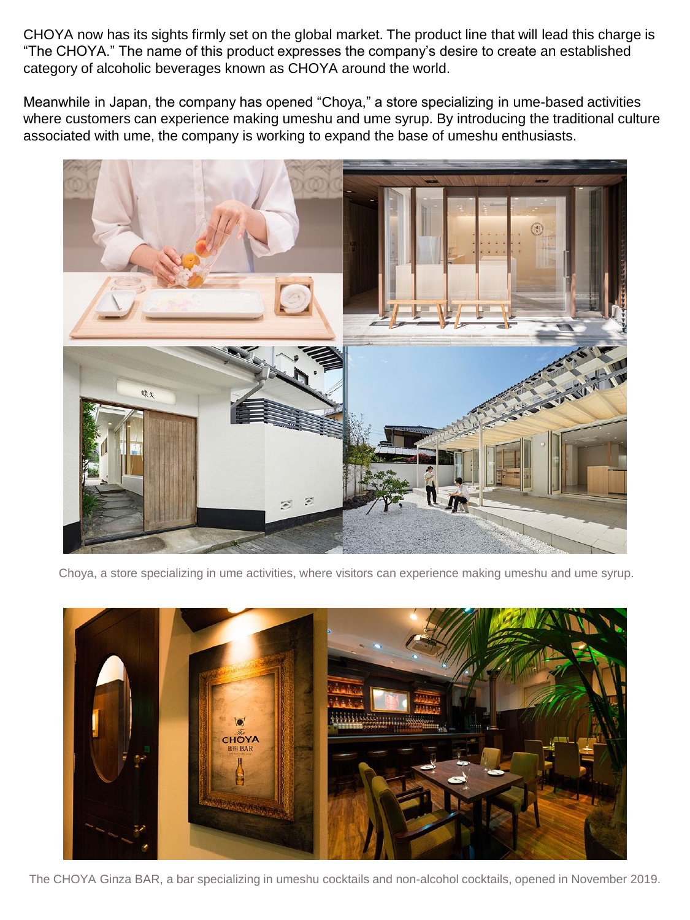CHOYA now has its sights firmly set on the global market. The product line that will lead this charge is "The CHOYA." The name of this product expresses the company's desire to create an established category of alcoholic beverages known as CHOYA around the world.

Meanwhile in Japan, the company has opened "Choya," a store specializing in ume-based activities where customers can experience making umeshu and ume syrup. By introducing the traditional culture associated with ume, the company is working to expand the base of umeshu enthusiasts.



Choya, a store specializing in ume activities, where visitors can experience making umeshu and ume syrup.



The CHOYA Ginza BAR, a bar specializing in umeshu cocktails and non-alcohol cocktails, opened in November 2019.